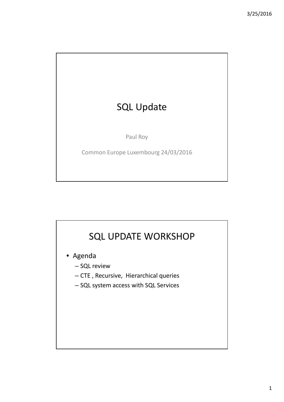# SQL Update

Paul Roy

Common Europe Luxembourg 24/03/2016

# SQL UPDATE WORKSHOP

- Agenda
	- SQL review
	- CTE , Recursive, Hierarchical queries
	- SQL system access with SQL Services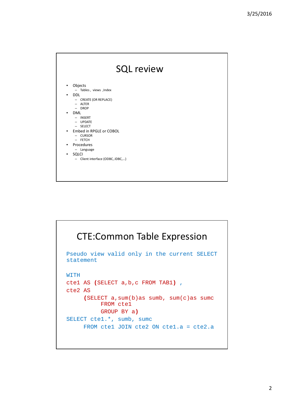

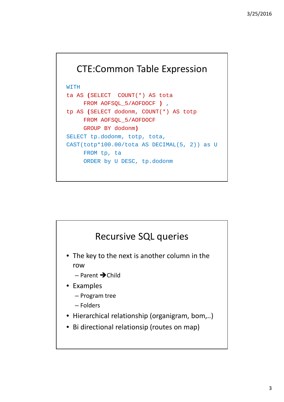#### CTE:Common Table Expression

WITH

```
ta AS (SELECT COUNT(*) AS tota
     FROM AOFSQL_5/AOFDOCF ) ,
tp AS (SELECT dodonm, COUNT(*) AS totp
     FROM AOFSQL_5/AOFDOCF
     GROUP BY dodonm)
SELECT tp.dodonm, totp, tota, 
CAST(totp*100.00/tota AS DECIMAL(5, 2)) as U 
     FROM tp, ta
     ORDER by U DESC, tp.dodonm
```
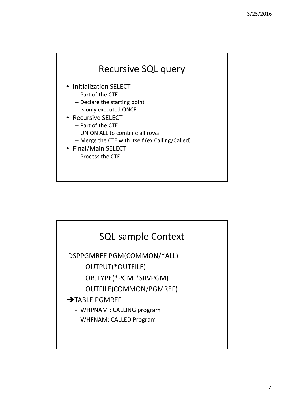

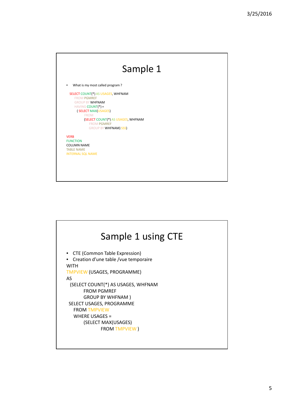

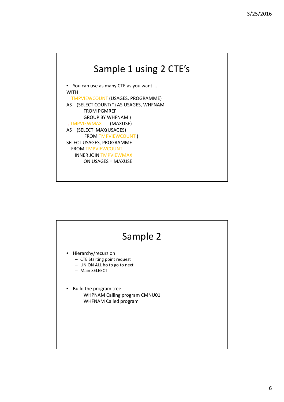

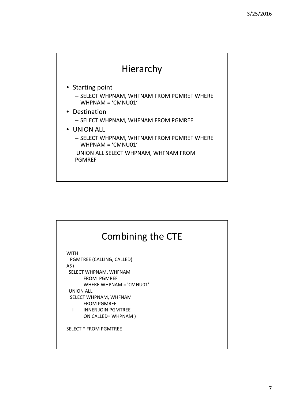

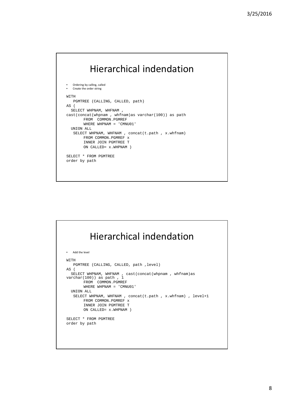### Hierarchical indendation

```
• Ordering by calling, called
• Create the order string
WITH 
  PGMTREE (CALLING, CALLED, path)
AS (
  SELECT WHPNAM, WHFNAM , 
cast(concat(whpnam , whfnam)as varchar(100)) as path
       FROM COMMON.PGMREF
       WHERE WHPNAM = 'CMNU01' 
  UNION ALL 
   SELECT WHPNAM, WHFNAM , concat(t.path , x.whfnam)
       FROM COMMON.PGMREF x
        INNER JOIN PGMTREE T
        ON CALLED= x.WHPNAM ) 
SELECT * FROM PGMTREE 
order by path
```

|      | Hierarchical indendation                                                                 |
|------|------------------------------------------------------------------------------------------|
| ٠    | Add the level                                                                            |
| WITH |                                                                                          |
|      | PGMTREE (CALLING, CALLED, path, level)                                                   |
| AS(  |                                                                                          |
|      | SELECT WHPNAM, WHFNAM, cast(concat(whpnam, whfnam)as<br>$\text{varchar}(100)$ as path, 1 |
|      | FROM COMMON.PGMREF                                                                       |
|      | WHERE WHPNAM = 'CMNU01'                                                                  |
|      | IINTON ALL.                                                                              |
|      | SELECT WHPNAM, WHFNAM, concat(t.path, x.whfnam), $level+1$                               |
|      | FROM COMMON.PGMREF x                                                                     |
|      | INNER JOIN PGMTREE T                                                                     |
|      | ON CALLED= x. WHPNAM )                                                                   |
|      | SELECT * FROM PGMTREE                                                                    |
|      | order by path                                                                            |
|      |                                                                                          |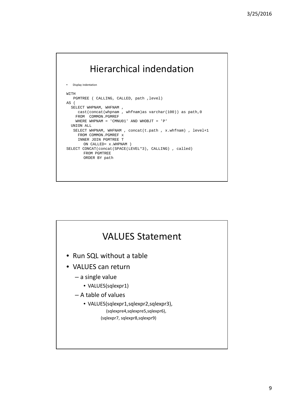# Hierarchical indendation

```
• Display indentation
WITH 
  PGMTREE ( CALLING, CALLED, path ,level)
AS (
 SELECT WHPNAM, WHFNAM,
    cast(concat(whpnam , whfnam)as varchar(100)) as path,0
   FROM COMMON.PGMREF 
   WHERE WHPNAM = 'CMNU01' AND WHOBJT = 'P'
  UNION ALL 
  SELECT WHPNAM, WHFNAM , concat(t.path , x.whfnam) , level+1
     FROM COMMON.PGMREF x
    INNER JOIN PGMTREE T
       ON CALLED= x.WHPNAM ) 
SELECT CONCAT(concat(SPACE(LEVEL*3), CALLING) , called) 
       FROM PGMTREE 
       ORDER BY path
```
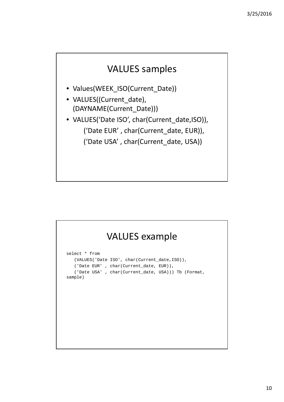#### VALUES samples

- Values(WEEK\_ISO(Current\_Date))
- VALUES((Current\_date), (DAYNAME(Current\_Date)))
- VALUES('Date ISO', char(Current\_date,ISO)), ('Date EUR' , char(Current\_date, EUR)), ('Date USA' , char(Current\_date, USA))

| <b>VALUES</b> example                                                                                                                                                      |  |
|----------------------------------------------------------------------------------------------------------------------------------------------------------------------------|--|
| select * from<br>(VALUES('Date ISO', char(Current_date, ISO)),<br>('Date EUR' , char(Current_date, EUR)),<br>('Date USA', char(Current_date, USA))) Tb (Format,<br>sample) |  |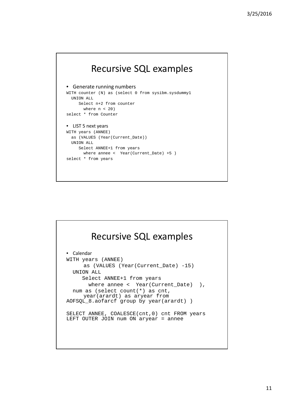